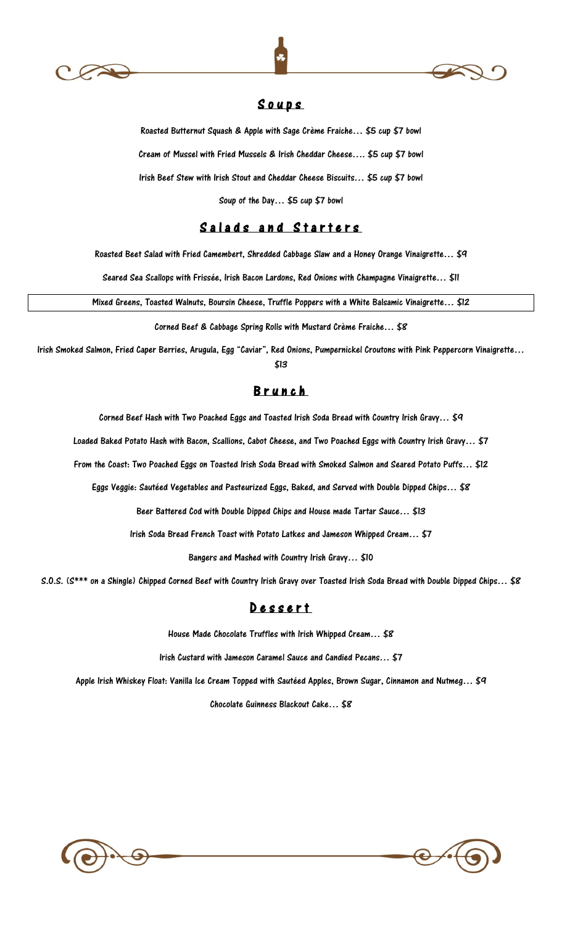





## S o u p s

Roasted Butternut Squash & Apple with Sage Crème Fraiche… \$5 cup \$7 bowl Cream of Mussel with Fried Mussels & Irish Cheddar Cheese…. \$5 cup \$7 bowl Irish Beef Stew with Irish Stout and Cheddar Cheese Biscuits… \$5 cup \$7 bowl

Soup of the Day… \$5 cup \$7 bowl

## Salads and Starters

Roasted Beet Salad with Fried Camembert, Shredded Cabbage Slaw and a Honey Orange Vinaigrette… \$9

Seared Sea Scallops with Frissée, Irish Bacon Lardons, Red Onions with Champagne Vinaigrette… \$11

Mixed Greens, Toasted Walnuts, Boursin Cheese, Truffle Poppers with a White Balsamic Vinaigrette… \$12

Corned Beef & Cabbage Spring Rolls with Mustard Crème Fraiche… \$8

Irish Smoked Salmon, Fried Caper Berries, Arugula, Egg "Caviar", Red Onions, Pumpernickel Croutons with Pink Peppercorn Vinaigrette… \$13

## **Brunch**

Corned Beef Hash with Two Poached Eggs and Toasted Irish Soda Bread with Country Irish Gravy... \$9

Loaded Baked Potato Hash with Bacon, Scallions, Cabot Cheese, and Two Poached Eggs with Country Irish Gravy… \$7

From the Coast: Two Poached Eggs on Toasted Irish Soda Bread with Smoked Salmon and Seared Potato Puffs… \$12

Eggs Veggie: Sautéed Vegetables and Pasteurized Eggs, Baked, and Served with Double Dipped Chips… \$8

Beer Battered Cod with Double Dipped Chips and House made Tartar Sauce… \$13

Irish Soda Bread French Toast with Potato Latkes and Jameson Whipped Cream… \$7

Bangers and Mashed with Country Irish Gravy… \$10

S.O.S. (S\*\*\* on a Shingle) Chipped Corned Beef with Country Irish Gravy over Toasted Irish Soda Bread with Double Dipped Chips… \$8

## D e s s e r t

House Made Chocolate Truffles with Irish Whipped Cream… \$8

Irish Custard with Jameson Caramel Sauce and Candied Pecans… \$7

Apple Irish Whiskey Float: Vanilla Ice Cream Topped with Sautéed Apples, Brown Sugar, Cinnamon and Nutmeg... \$9

Chocolate Guinness Blackout Cake… \$8

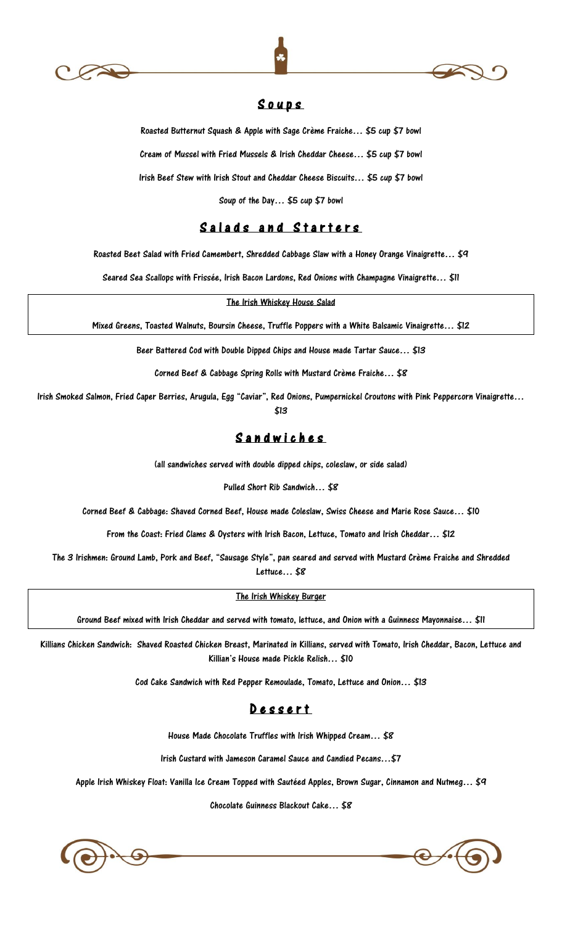





## S o u p s

Roasted Butternut Squash & Apple with Sage Crème Fraiche… \$5 cup \$7 bowl

Cream of Mussel with Fried Mussels & Irish Cheddar Cheese… \$5 cup \$7 bowl

Irish Beef Stew with Irish Stout and Cheddar Cheese Biscuits… \$5 cup \$7 bowl

Soup of the Day… \$5 cup \$7 bowl

## Salads and Starters

Roasted Beet Salad with Fried Camembert, Shredded Cabbage Slaw with a Honey Orange Vinaigrette… \$9

Seared Sea Scallops with Frissée, Irish Bacon Lardons, Red Onions with Champagne Vinaigrette… \$11

The Irish Whiskey House Salad

Mixed Greens, Toasted Walnuts, Boursin Cheese, Truffle Poppers with a White Balsamic Vinaigrette… \$12

Beer Battered Cod with Double Dipped Chips and House made Tartar Sauce… \$13

Corned Beef & Cabbage Spring Rolls with Mustard Crème Fraiche… \$8

Irish Smoked Salmon, Fried Caper Berries, Arugula, Egg "Caviar", Red Onions, Pumpernickel Croutons with Pink Peppercorn Vinaigrette… \$13

## S a n d w i c h e s

(all sandwiches served with double dipped chips, coleslaw, or side salad)

Pulled Short Rib Sandwich… \$8

Corned Beef & Cabbage: Shaved Corned Beef, House made Coleslaw, Swiss Cheese and Marie Rose Sauce… \$10

From the Coast: Fried Clams & Oysters with Irish Bacon, Lettuce, Tomato and Irish Cheddar… \$12

The 3 Irishmen: Ground Lamb, Pork and Beef, "Sausage Style", pan seared and served with Mustard Crème Fraiche and Shredded Lettuce… \$8

The Irish Whiskey Burger

Ground Beef mixed with Irish Cheddar and served with tomato, lettuce, and Onion with a Guinness Mayonnaise… \$11

Killians Chicken Sandwich: Shaved Roasted Chicken Breast, Marinated in Killians, served with Tomato, Irish Cheddar, Bacon, Lettuce and Killian's House made Pickle Relish… \$10

Cod Cake Sandwich with Red Pepper Remoulade, Tomato, Lettuce and Onion… \$13

## Dessert

House Made Chocolate Truffles with Irish Whipped Cream… \$8

Irish Custard with Jameson Caramel Sauce and Candied Pecans…\$7

Apple Irish Whiskey Float: Vanilla Ice Cream Topped with Sautéed Apples, Brown Sugar, Cinnamon and Nutmeg... \$9

Chocolate Guinness Blackout Cake… \$8



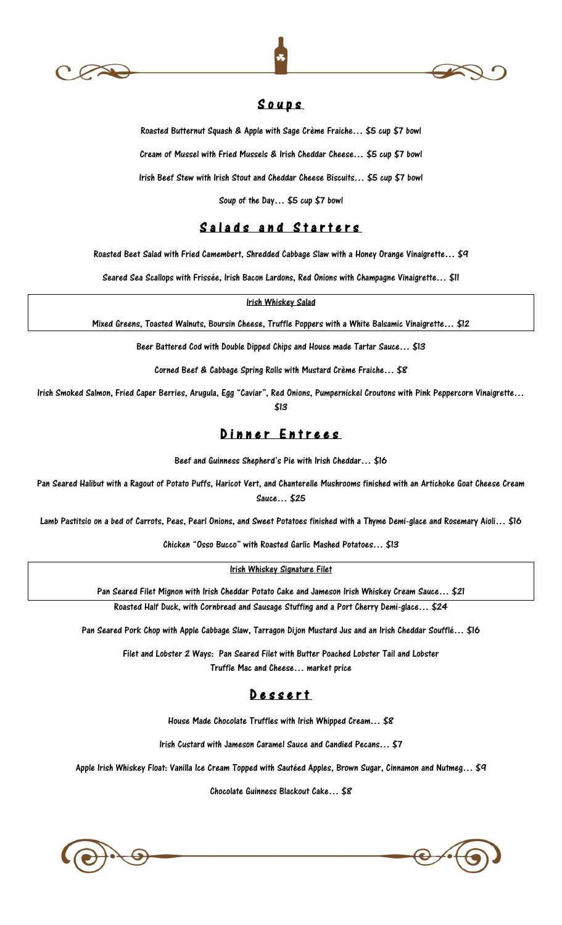





## S o u p s

Roasted Butternut Squash & Apple with Sage Crème Fraiche… \$5 cup \$7 bowl

Cream of Mussel with Fried Mussels & Irish Cheddar Cheese… \$5 cup \$7 bowl

Irish Beef Stew with Irish Stout and Cheddar Cheese Biscuits… \$5 cup \$7 bowl

Soup of the Day… \$5 cup \$7 bowl

## Salads and Starters

Roasted Beet Salad with Fried Camembert, Shredded Cabbage Slaw with a Honey Orange Vinaigrette… \$9

Seared Sea Scallops with Frissée, Irish Bacon Lardons, Red Onions with Champagne Vinaigrette… \$11

Irish Whiskey Salad

Mixed Greens, Toasted Walnuts, Boursin Cheese, Truffle Poppers with a White Balsamic Vinaigrette… \$12

Beer Battered Cod with Double Dipped Chips and House made Tartar Sauce… \$13

Corned Beef & Cabbage Spring Rolls with Mustard Crème Fraiche… \$8

Irish Smoked Salmon, Fried Caper Berries, Arugula, Egg "Caviar", Red Onions, Pumpernickel Croutons with Pink Peppercorn Vinaigrette… \$13

Dinner Entrees

Beef and Guinness Shepherd's Pie with Irish Cheddar… \$16

Pan Seared Halibut with a Ragout of Potato Puffs, Haricot Vert, and Chanterelle Mushrooms finished with an Artichoke Goat Cheese Cream Sauce… \$25

Lamb Pastitsio on a bed of Carrots, Peas, Pearl Onions, and Sweet Potatoes finished with a Thyme Demi-glace and Rosemary Aioli… \$16

Chicken "Osso Bucco" with Roasted Garlic Mashed Potatoes… \$13

Irish Whiskey Signature Filet

Pan Seared Filet Mignon with Irish Cheddar Potato Cake and Jameson Irish Whiskey Cream Sauce… \$21

Roasted Half Duck, with Cornbread and Sausage Stuffing and a Port Cherry Demi-glace… \$24

Pan Seared Pork Chop with Apple Cabbage Slaw, Tarragon Dijon Mustard Jus and an Irish Cheddar Soufflé… \$16

Filet and Lobster 2 Ways: Pan Seared Filet with Butter Poached Lobster Tail and Lobster Truffle Mac and Cheese… market price

## D e s s e r t

House Made Chocolate Truffles with Irish Whipped Cream… \$8

Irish Custard with Jameson Caramel Sauce and Candied Pecans… \$7

Apple Irish Whiskey Float: Vanilla Ice Cream Topped with Sautéed Apples, Brown Sugar, Cinnamon and Nutmeg… \$9

Chocolate Guinness Blackout Cake… \$8



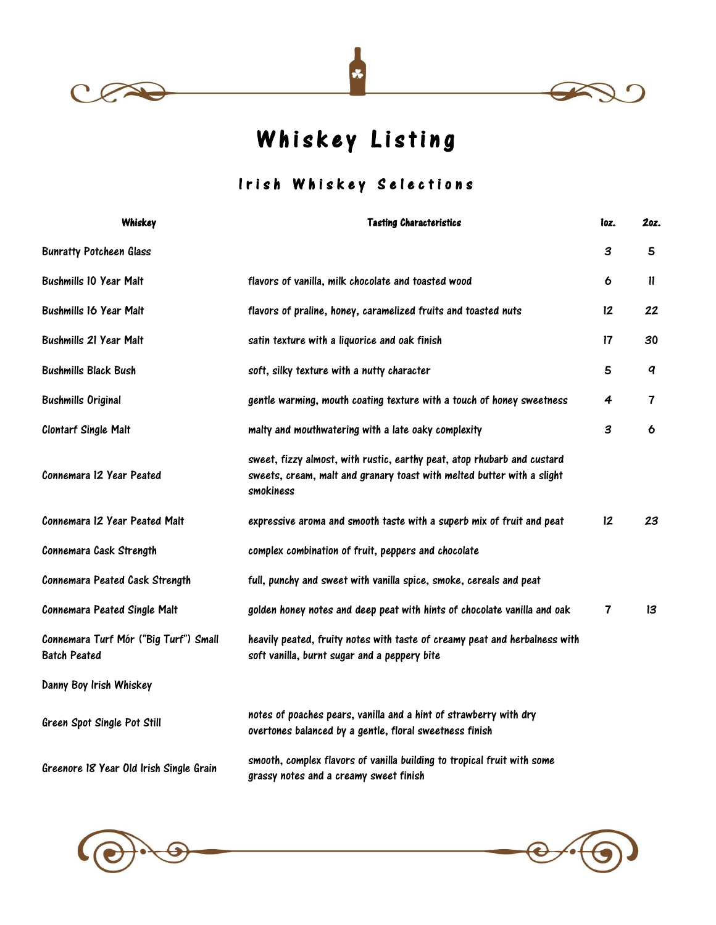





Whiskey Listing

## Irish Whiskey Selections

| Whiskey                                                      | <b>Tasting Characteristics</b>                                                                                                                                 | loz. | 2oz.                    |
|--------------------------------------------------------------|----------------------------------------------------------------------------------------------------------------------------------------------------------------|------|-------------------------|
| <b>Bunratty Potcheen Glass</b>                               |                                                                                                                                                                | 3    | 5                       |
| <b>Bushmills 10 Year Malt</b>                                | flavors of vanilla, milk chocolate and toasted wood                                                                                                            | 6    | $\mathbf{u}$            |
| <b>Bushmills 16 Year Malt</b>                                | flavors of praline, honey, caramelized fruits and toasted nuts                                                                                                 | 12   | 22                      |
| <b>Bushmills 21 Year Malt</b>                                | satin texture with a liquorice and oak finish                                                                                                                  | 17   | 30                      |
| <b>Bushmills Black Bush</b>                                  | soft, silky texture with a nutty character                                                                                                                     | 5    | $\boldsymbol{q}$        |
| <b>Bushmills Original</b>                                    | gentle warming, mouth coating texture with a touch of honey sweetness                                                                                          | 4    | $\overline{\mathbf{7}}$ |
| <b>Clontarf Single Malt</b>                                  | malty and mouthwatering with a late oaky complexity                                                                                                            | 3    | 6                       |
| Connemara 12 Year Peated                                     | sweet, fizzy almost, with rustic, earthy peat, atop rhubarb and custard<br>sweets, cream, malt and granary toast with melted butter with a slight<br>smokiness |      |                         |
| Connemara 12 Year Peated Malt                                | expressive aroma and smooth taste with a superb mix of fruit and peat                                                                                          | 12   | 23                      |
| Connemara Cask Strength                                      | complex combination of fruit, peppers and chocolate                                                                                                            |      |                         |
| Connemara Peated Cask Strength                               | full, punchy and sweet with vanilla spice, smoke, cereals and peat                                                                                             |      |                         |
| Connemara Peated Single Malt                                 | golden honey notes and deep peat with hints of chocolate vanilla and oak                                                                                       | 7    | 13                      |
| Connemara Turf Mór ("Big Turf") Small<br><b>Batch Peated</b> | heavily peated, fruity notes with taste of creamy peat and herbalness with<br>soft vanilla, burnt sugar and a peppery bite                                     |      |                         |
| Danny Boy Irish Whiskey                                      |                                                                                                                                                                |      |                         |
| Green Spot Single Pot Still                                  | notes of poaches pears, vanilla and a hint of strawberry with dry<br>overtones balanced by a gentle, floral sweetness finish                                   |      |                         |
| Greenore 18 Year Old Irish Single Grain                      | smooth, complex flavors of vanilla building to tropical fruit with some<br>grassy notes and a creamy sweet finish                                              |      |                         |



G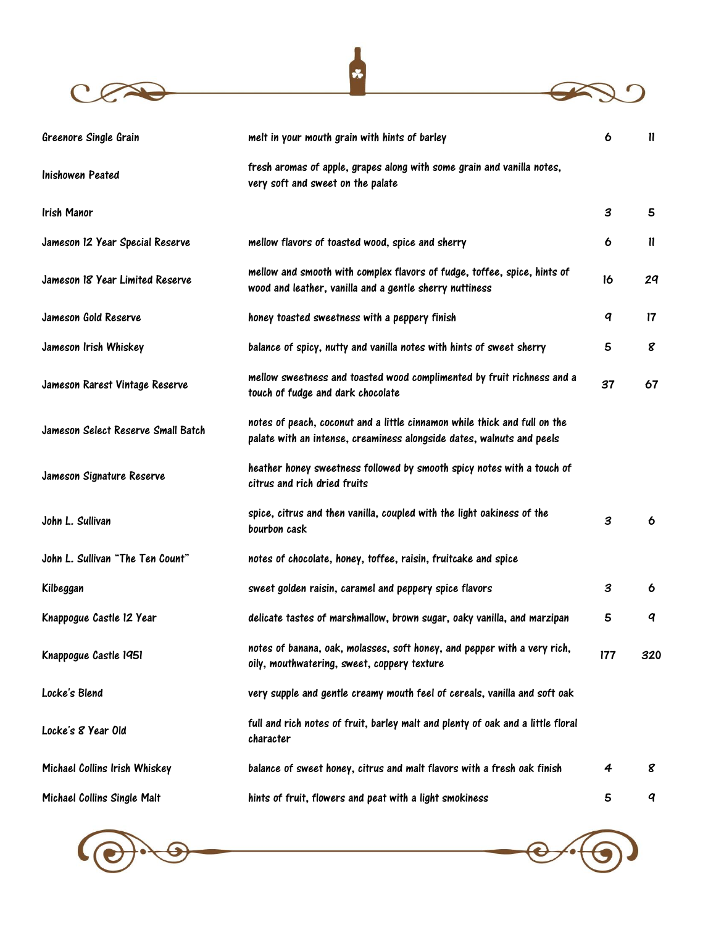



| Greenore Single Grain              | melt in your mouth grain with hints of barley                                                                                                      | 6   | $\mathbf{u}$ |
|------------------------------------|----------------------------------------------------------------------------------------------------------------------------------------------------|-----|--------------|
| Inishowen Peated                   | fresh aromas of apple, grapes along with some grain and vanilla notes,<br>very soft and sweet on the palate                                        |     |              |
| Irish Manor                        |                                                                                                                                                    | 3   | 5            |
| Jameson 12 Year Special Reserve    | mellow flavors of toasted wood, spice and sherry                                                                                                   | 6   | $\mathbf{u}$ |
| Jameson 18 Year Limited Reserve    | mellow and smooth with complex flavors of fudge, toffee, spice, hints of<br>wood and leather, vanilla and a gentle sherry nuttiness                | 16  | 29           |
| Jameson Gold Reserve               | honey toasted sweetness with a peppery finish                                                                                                      | q   | 17           |
| Jameson Irish Whiskey              | balance of spicy, nutty and vanilla notes with hints of sweet sherry                                                                               | 5   | 8            |
| Jameson Rarest Vintage Reserve     | mellow sweetness and toasted wood complimented by fruit richness and a<br>touch of fudge and dark chocolate                                        | 37  | 67           |
| Jameson Select Reserve Small Batch | notes of peach, coconut and a little cinnamon while thick and full on the<br>palate with an intense, creaminess alongside dates, walnuts and peels |     |              |
| Jameson Signature Reserve          | heather honey sweetness followed by smooth spicy notes with a touch of<br>citrus and rich dried fruits                                             |     |              |
| John L. Sullivan                   | spice, citrus and then vanilla, coupled with the light oakiness of the<br>bourbon cask                                                             | 3   | 6            |
| John L. Sullivan "The Ten Count"   | notes of chocolate, honey, toffee, raisin, fruitcake and spice                                                                                     |     |              |
| Kilbeggan                          | sweet golden raisin, caramel and peppery spice flavors                                                                                             | 3   | 6            |
| Knappogue Castle 12 Year           | delicate tastes of marshmallow, brown sugar, oaky vanilla, and marzipan                                                                            | 5   | q            |
| Knappogue Castle 1951              | notes of banana, oak, molasses, soft honey, and pepper with a very rich,<br>oily, mouthwatering, sweet, coppery texture                            | 177 | 320          |
| Locke's Blend                      | very supple and gentle creamy mouth feel of cereals, vanilla and soft oak                                                                          |     |              |
| Locke's 8 Year Old                 | full and rich notes of fruit, barley malt and plenty of oak and a little floral<br>character                                                       |     |              |
| Michael Collins Irish Whiskey      | balance of sweet honey, citrus and malt flavors with a fresh oak finish                                                                            | 4   | 8            |
| Michael Collins Single Malt        | hints of fruit, flowers and peat with a light smokiness                                                                                            | 5   | q            |



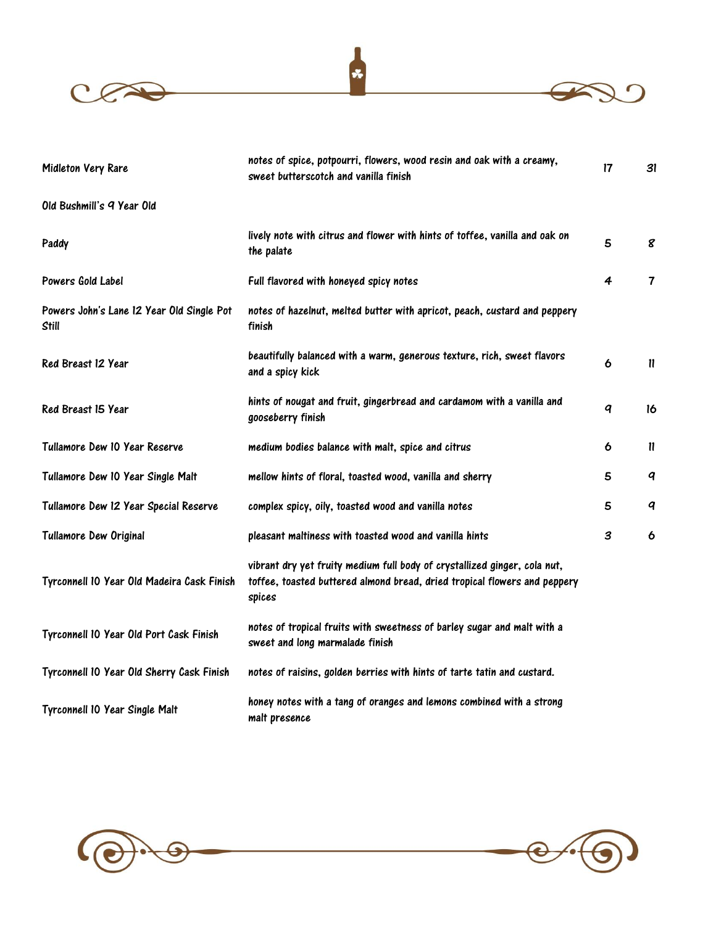



| Midleton Very Rare                                        | notes of spice, potpourri, flowers, wood resin and oak with a creamy,<br>sweet butterscotch and vanilla finish                                                   | $\mathsf{17}$    | 31                      |
|-----------------------------------------------------------|------------------------------------------------------------------------------------------------------------------------------------------------------------------|------------------|-------------------------|
| Old Bushmill's 9 Year Old                                 |                                                                                                                                                                  |                  |                         |
| Paddy                                                     | lively note with citrus and flower with hints of toffee, vanilla and oak on<br>the palate                                                                        | 5                | 8                       |
| Powers Gold Label                                         | Full flavored with honeyed spicy notes                                                                                                                           | 4                | $\overline{\mathbf{7}}$ |
| Powers John's Lane 12 Year Old Single Pot<br><b>Still</b> | notes of hazelnut, melted butter with apricot, peach, custard and peppery<br>finish                                                                              |                  |                         |
| Red Breast 12 Year                                        | beautifully balanced with a warm, generous texture, rich, sweet flavors<br>and a spicy kick                                                                      | 6                | $\mathbf{u}$            |
| Red Breast 15 Year                                        | hints of nougat and fruit, gingerbread and cardamom with a vanilla and<br>gooseberry finish                                                                      | $\boldsymbol{q}$ | 16                      |
| Tullamore Dew 10 Year Reserve                             | medium bodies balance with malt, spice and citrus                                                                                                                | 6                | $\mathbf{u}$            |
| Tullamore Dew 10 Year Single Malt                         | mellow hints of floral, toasted wood, vanilla and sherry                                                                                                         | 5                | q                       |
| Tullamore Dew 12 Year Special Reserve                     | complex spicy, oily, toasted wood and vanilla notes                                                                                                              | 5                | q                       |
| <b>Tullamore Dew Original</b>                             | pleasant maltiness with toasted wood and vanilla hints                                                                                                           | 3                | 6                       |
| Tyrconnell 10 Year Old Madeira Cask Finish                | vibrant dry yet fruity medium full body of crystallized ginger, cola nut,<br>toffee, toasted buttered almond bread, dried tropical flowers and peppery<br>spices |                  |                         |
| Tyrconnell 10 Year Old Port Cask Finish                   | notes of tropical fruits with sweetness of barley sugar and malt with a<br>sweet and long marmalade finish                                                       |                  |                         |
| Tyrconnell 10 Year Old Sherry Cask Finish                 | notes of raisins, golden berries with hints of tarte tatin and custard.                                                                                          |                  |                         |
| Tyrconnell 10 Year Single Malt                            | honey notes with a tang of oranges and lemons combined with a strong<br>malt presence                                                                            |                  |                         |



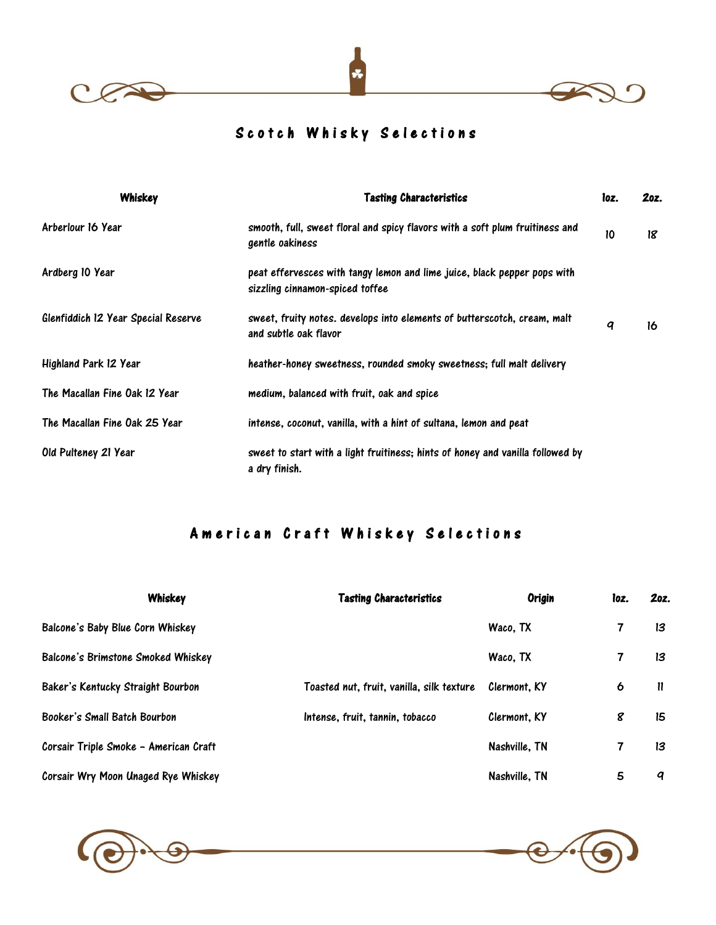



# Scotch Whisky Selections

| Whiskey                             | <b>Tasting Characteristics</b>                                                                              | loz. | 20z. |
|-------------------------------------|-------------------------------------------------------------------------------------------------------------|------|------|
| Arberlour 16 Year                   | smooth, full, sweet floral and spicy flavors with a soft plum fruitiness and<br>gentle oakiness             | 10   | 18   |
| Ardberg 10 Year                     | peat effervesces with tangy lemon and lime juice, black pepper pops with<br>sizzling cinnamon-spiced toffee |      |      |
| Glenfiddich 12 Year Special Reserve | sweet, fruity notes. develops into elements of butterscotch, cream, malt<br>and subtle oak flavor           | q    | 16   |
| Highland Park 12 Year               | heather-honey sweetness, rounded smoky sweetness; full malt delivery                                        |      |      |
| The Macallan Fine Oak 12 Year       | medium, balanced with fruit, oak and spice                                                                  |      |      |
| The Macallan Fine Oak 25 Year       | intense, coconut, vanilla, with a hint of sultana, lemon and peat                                           |      |      |
| Old Pulteney 21 Year                | sweet to start with a light fruitiness; hints of honey and vanilla followed by<br>a dry finish.             |      |      |

# A m e r i c a n C r a f t W h i s k e y S e l e c t i o n s

| Whiskey                               | <b>Tasting Characteristics</b>            | <b>Origin</b> | loz. | 20z. |
|---------------------------------------|-------------------------------------------|---------------|------|------|
| Balcone's Baby Blue Corn Whiskey      |                                           | Waco, TX      | 7    | 13   |
| Balcone's Brimstone Smoked Whiskey    |                                           | Waco, TX      | 7    | 13   |
| Baker's Kentucky Straight Bourbon     | Toasted nut, fruit, vanilla, silk texture | Clermont. KY  | 6    | 11   |
| Booker's Small Batch Bourbon          | Intense, fruit, tannin, tobacco           | Clermont. KY  | 8    | 15   |
| Corsair Triple Smoke - American Craft |                                           | Nashville, TN | 7    | 13   |
| Corsair Wry Moon Unaged Rye Whiskey   |                                           | Nashville, TN | 5    | q    |





 $C$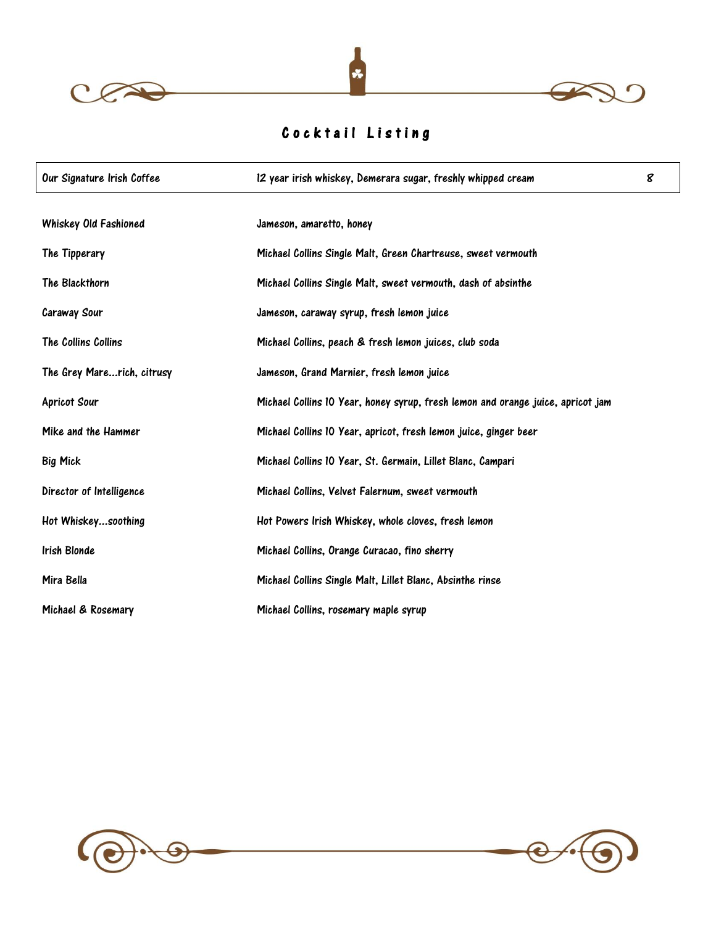



# Cocktail Listing

| Our Signature Irish Coffee | 12 year irish whiskey, Demerara sugar, freshly whipped cream                    | 8 |
|----------------------------|---------------------------------------------------------------------------------|---|
| Whiskey Old Fashioned      | Jameson, amaretto, honey                                                        |   |
| The Tipperary              | Michael Collins Single Malt, Green Chartreuse, sweet vermouth                   |   |
| The Blackthorn             | Michael Collins Single Malt, sweet vermouth, dash of absinthe                   |   |
| <b>Caraway Sour</b>        | Jameson, caraway syrup, fresh lemon juice                                       |   |
| The Collins Collins        | Michael Collins, peach & fresh lemon juices, club soda                          |   |
| The Grey Marerich, citrusy | Jameson, Grand Marnier, fresh lemon juice                                       |   |
| <b>Apricot Sour</b>        | Michael Collins 10 Year, honey syrup, fresh lemon and orange juice, apricot jam |   |
| Mike and the Hammer        | Michael Collins 10 Year, apricot, fresh lemon juice, ginger beer                |   |
| <b>Big Mick</b>            | Michael Collins 10 Year, St. Germain, Lillet Blanc, Campari                     |   |
| Director of Intelligence   | Michael Collins, Velvet Falernum, sweet vermouth                                |   |
| Hot Whiskeysoothing        | Hot Powers Irish Whiskey, whole cloves, fresh lemon                             |   |
| Irish Blonde               | Michael Collins, Orange Curacao, fino sherry                                    |   |
| Mira Bella                 | Michael Collins Single Malt, Lillet Blanc, Absinthe rinse                       |   |
| Michael & Rosemary         | Michael Collins, rosemary maple syrup                                           |   |



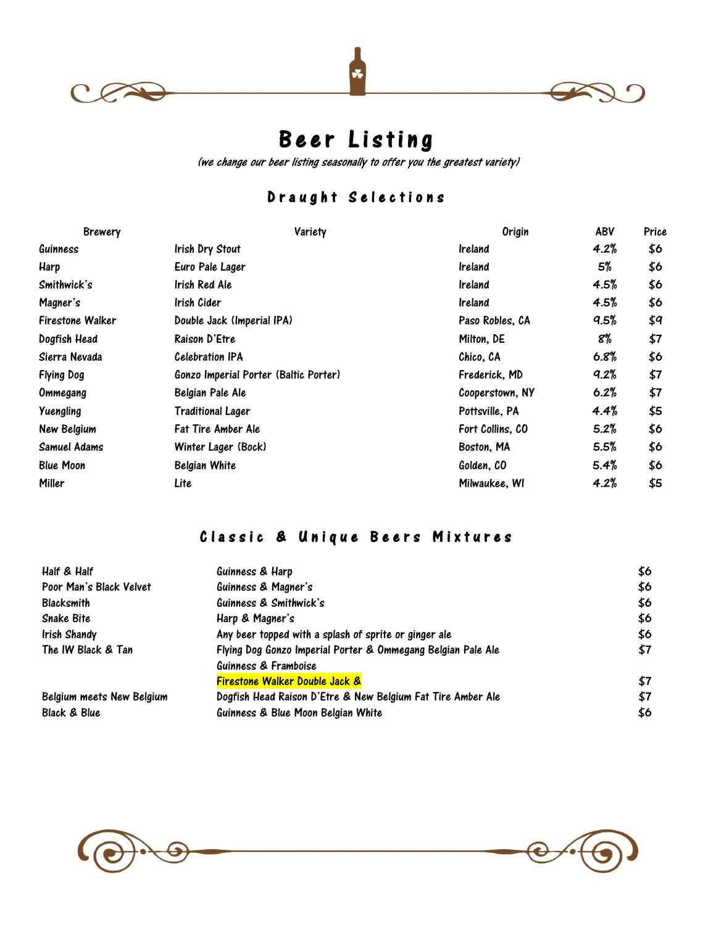



 $\epsilon$ 

# Beer Listing

(we change our beer listing seasonally to offer you the greatest variety)

# D r a u g h t S e l e c t i o n s

| <b>Brewery</b>    | Variety                               | Origin           | ABV  | Price |
|-------------------|---------------------------------------|------------------|------|-------|
| Guinness          | Irish Dry Stout                       | Ireland          | 4.2% | \$6   |
| Harp              | Euro Pale Lager                       | <b>Ireland</b>   | 5%   | \$6   |
| Smithwick's       | Irish Red Ale                         | <b>Ireland</b>   | 4.5% | \$6   |
| Magner's          | Irish Cider                           | <b>Ireland</b>   | 4.5% | \$6   |
| Firestone Walker  | Double Jack (Imperial IPA)            | Paso Robles, CA  | 9.5% | \$9   |
| Dogfish Head      | Raison D'Etre                         | Milton, DE       | 8%   | \$7   |
| Sierra Nevada     | <b>Celebration IPA</b>                | Chico, CA        | 6.8% | \$6   |
| <b>Flying Dog</b> | Gonzo Imperial Porter (Baltic Porter) | Frederick, MD    | 9.2% | \$7   |
| Ommegang          | Belgian Pale Ale                      | Cooperstown, NY  | 6.2% | \$7   |
| Yuengling         | Traditional Lager                     | Pottsville, PA   | 4.4% | \$5   |
| New Belgium       | <b>Fat Tire Amber Ale</b>             | Fort Collins, CO | 5.2% | \$6   |
| Samuel Adams      | Winter Lager (Bock)                   | Boston, MA       | 5.5% | \$6   |
| <b>Blue Moon</b>  | Belgian White                         | Golden, CO       | 5.4% | \$6   |
| Miller            | Lite                                  | Milwaukee, WI    | 4.2% | \$5   |

# Classic & Unique Beers Mixtures

| Half & Half               | Guinness & Harp                                                                      | \$6 |
|---------------------------|--------------------------------------------------------------------------------------|-----|
| Poor Man's Black Velvet   | Guinness & Magner's                                                                  | \$6 |
| Blacksmith                | Guinness & Smithwick's                                                               | \$6 |
| Snake Bite                | Harp & Magner's                                                                      | \$6 |
| Irish Shandy              | Any beer topped with a splash of sprite or ginger ale                                | \$6 |
| The IW Black & Tan        | Flying Dog Gonzo Imperial Porter & Ommegang Belgian Pale Ale<br>Guinness & Framboise | \$7 |
|                           | <b>Firestone Walker Double Jack &amp;</b>                                            | \$7 |
| Belgium meets New Belgium | Dogfish Head Raison D'Etre & New Belgium Fat Tire Amber Ale                          | \$7 |
| Black & Blue              | Guinness & Blue Moon Belgian White                                                   | \$6 |
|                           |                                                                                      |     |

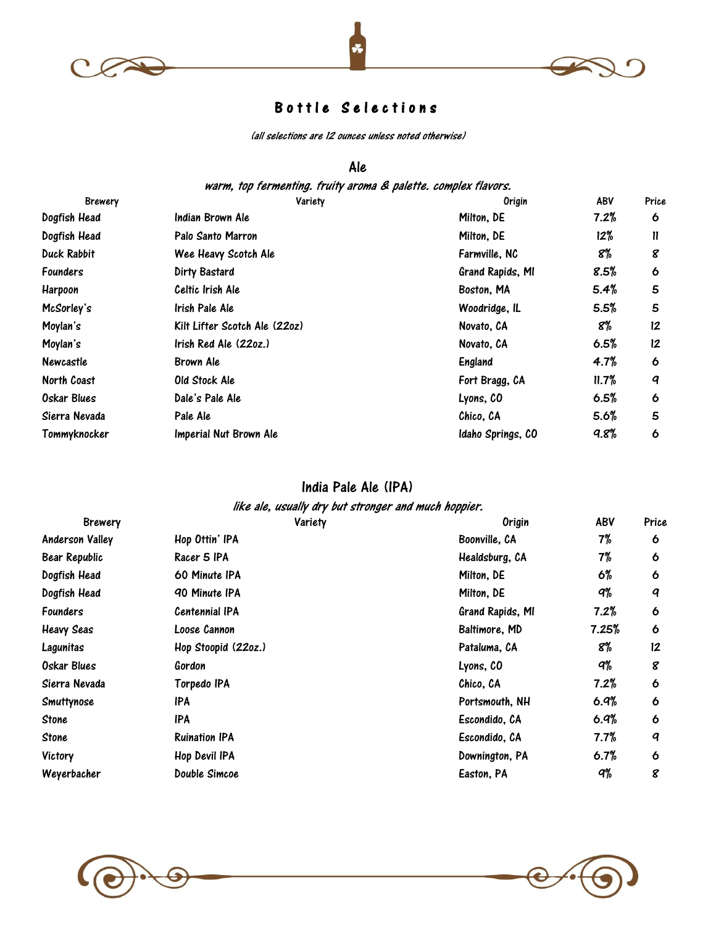



## Bottle Selections

(all selections are 12 ounces unless noted otherwise)

#### Ale

warm, top fermenting. fruity aroma & palette. complex flavors.

| <b>Brewery</b>     | Variety                       | <b>Origin</b>     | ABV   | Price   |
|--------------------|-------------------------------|-------------------|-------|---------|
| Dogfish Head       | Indian Brown Ale              | Milton, DE        | 7.2%  | 6       |
| Dogfish Head       | Palo Santo Marron             | Milton, DE        | 12%   | 11      |
| <b>Duck Rabbit</b> | Wee Heavy Scotch Ale          | Farmville, NC     | 8%    | 8       |
| <b>Founders</b>    | Dirty Bastard                 | Grand Rapids, MI  | 8.5%  | 6       |
| Harpoon            | Celtic Irish Ale              | Boston, MA        | 5.4%  | 5       |
| McSorley's         | Irish Pale Ale                | Woodridge, IL     | 5.5%  | 5       |
| Moylan's           | Kilt Lifter Scotch Ale (220z) | Novato, CA        | 8%    | $12 \,$ |
| Moylan's           | Irish Red Ale (22oz.)         | Novato, CA        | 6.5%  | 12      |
| <b>Newcastle</b>   | Brown Ale                     | England           | 4.7%  | 6       |
| North Coast        | Old Stock Ale                 | Fort Bragg, CA    | 11.7% | q       |
| <b>Oskar Blues</b> | Dale's Pale Ale               | Lyons, CO         | 6.5%  | 6       |
| Sierra Nevada      | Pale Ale                      | Chico, CA         | 5.6%  | 5       |
| Tommyknocker       | Imperial Nut Brown Ale        | Idaho Springs, CO | 9.8%  | 6       |
|                    |                               |                   |       |         |

#### India Pale Ale (IPA)

#### like ale, usually dry but stronger and much hoppier.

| <b>Brewery</b>         | Variety               | <b>Origin</b>    | ABV   | Price |
|------------------------|-----------------------|------------------|-------|-------|
| <b>Anderson Valley</b> | Hop Ottin' IPA        | Boonville, CA    | 7%    | 6     |
| Bear Republic          | Racer 5 IPA           | Healdsburg, CA   | 7%    | 6     |
| Dogfish Head           | 60 Minute IPA         | Milton, DE       | 6%    | 6     |
| Dogfish Head           | 90 Minute IPA         | Milton, DE       | q%    | q     |
| <b>Founders</b>        | <b>Centennial IPA</b> | Grand Rapids, MI | 7.2%  | 6     |
| <b>Heavy Seas</b>      | Loose Cannon          | Baltimore, MD    | 7.25% | 6     |
| Lagunitas              | Hop Stoopid (22oz.)   | Pataluma, CA     | 8%    | 12    |
| Oskar Blues            | Gordon                | Lyons, CO        | q%    | 8     |
| Sierra Nevada          | Torpedo IPA           | Chico, CA        | 7.2%  | 6     |
| Smuttynose             | IPA                   | Portsmouth, NH   | 6.9%  | 6     |
| Stone                  | IPA                   | Escondido, CA    | 6.9%  | 6     |
| Stone                  | <b>Ruination IPA</b>  | Escondido, CA    | 7.7%  | q     |
| Victory                | Hop Devil IPA         | Downington, PA   | 6.7%  | 6     |
| Weyerbacher            | Double Simcoe         | Easton, PA       | q%    | 8     |

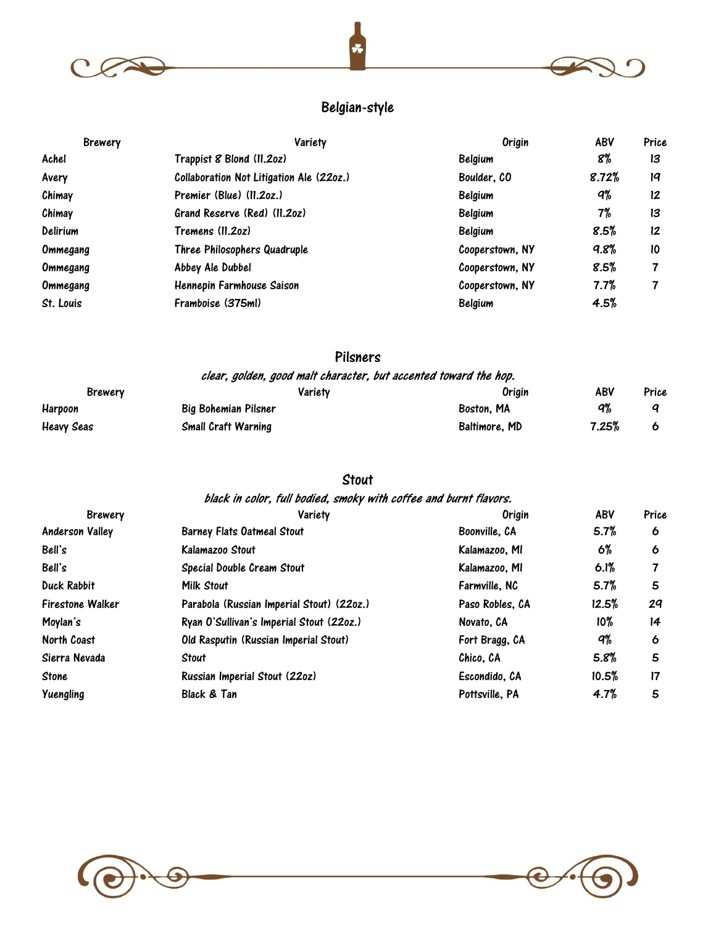



## Belgian-style

| <b>Brewery</b> | Variety                                  | Origin          | ABV   | Price |
|----------------|------------------------------------------|-----------------|-------|-------|
| Achel          | Trappist 8 Blond (11.20z)                | Belgium         | 8%    | 13    |
| Avery          | Collaboration Not Litigation Ale (22oz.) | Boulder, CO     | 8.72% | 19    |
| Chimay         | Premier (Blue) (11.20z.)                 | Belgium         | q%    | 12    |
| Chimay         | Grand Reserve (Red) (11.20z)             | Belgium         | 7%    | 13    |
| Delirium       | Tremens (11.2oz)                         | Belgium         | 8.5%  | 12    |
| Ommegang       | Three Philosophers Quadruple             | Cooperstown, NY | 9.8%  | 10    |
| Ommegang       | Abbey Ale Dubbel                         | Cooperstown, NY | 8.5%  |       |
| Ommegang       | Hennepin Farmhouse Saison                | Cooperstown, NY | 7.7%  |       |
| St. Louis      | Framboise (375ml)                        | <b>Belgium</b>  | 4.5%  |       |

## Pilsners

| clear, golden, good malt character, but accented toward the hop. |                            |               |       |       |
|------------------------------------------------------------------|----------------------------|---------------|-------|-------|
| <b>Brewery</b>                                                   | Varietv                    | Origin        | ABV   | Price |
| Harpoon                                                          | Big Bohemian Pilsner       | Boston, MA    | ۹%    |       |
| <b>Heavy Seas</b>                                                | <b>Small Craft Warning</b> | Baltimore, MD | 7.25% |       |

## Stout

| black in color, full bodied, smoky with coffee and burnt flavors. |                                           |                 |            |       |
|-------------------------------------------------------------------|-------------------------------------------|-----------------|------------|-------|
| <b>Brewery</b>                                                    | Variety                                   | Origin          | <b>ABV</b> | Price |
| <b>Anderson Valley</b>                                            | <b>Barney Flats Oatmeal Stout</b>         | Boonville, CA   | 5.7%       | 6     |
| Bell's                                                            | Kalamazoo Stout                           | Kalamazoo, MI   | 6%         | 6     |
| Bell's                                                            | Special Double Cream Stout                | Kalamazoo, MI   | 6.1%       | 7     |
| Duck Rabbit                                                       | Milk Stout                                | Farmville, NC   | 5.7%       | 5     |
| <b>Firestone Walker</b>                                           | Parabola (Russian Imperial Stout) (22oz.) | Paso Robles, CA | 12.5%      | 29    |
| Moylan's                                                          | Ryan O'Sullivan's Imperial Stout (22oz.)  | Novato, CA      | $10\%$     | 14    |
| North Coast                                                       | Old Rasputin (Russian Imperial Stout)     | Fort Bragg, CA  | q%         | 6     |
| Sierra Nevada                                                     | Stout                                     | Chico. CA       | 5.8%       | 5     |
| Stone                                                             | Russian Imperial Stout (22oz)             | Escondido. CA   | 10.5%      | 17    |
| Yuengling                                                         | Black & Tan                               | Pottsville, PA  | 4.7%       | 5     |



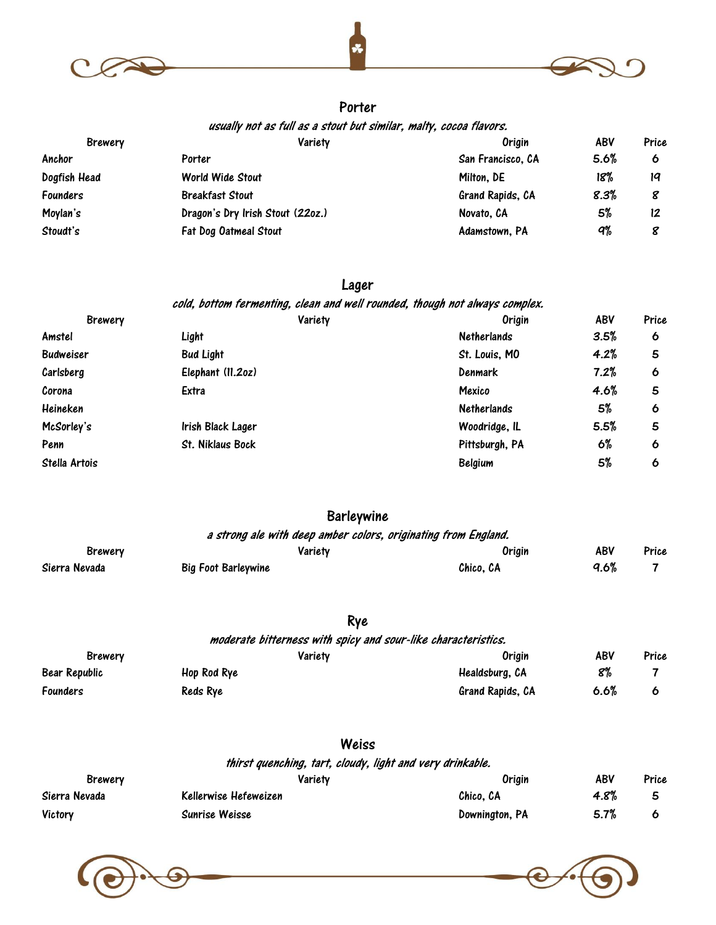



#### Porter

usually not as full as a stout but similar, malty, cocoa flavors.

| <b>Brewery</b>  | Variety                          | Origin            | ABV  | Price |
|-----------------|----------------------------------|-------------------|------|-------|
| Anchor          | Porter                           | San Francisco, CA | 5.6% | o     |
| Dogfish Head    | World Wide Stout                 | Milton, DE        | 18%  | 19    |
| <b>Founders</b> | <b>Breakfast Stout</b>           | Grand Rapids, CA  | 8.3% |       |
| Moylan's        | Dragon's Dry Irish Stout (22oz.) | Novato, CA        | 5%   | 12    |
| Stoudt's        | Fat Dog Oatmeal Stout            | Adamstown, PA     | q%   |       |

#### Lager

cold, bottom fermenting, clean and well rounded, though not always complex.

| <b>Brewery</b>   | Variety           | <b>Origin</b>      | ABV  | Price |
|------------------|-------------------|--------------------|------|-------|
| Amstel           | Light             | <b>Netherlands</b> | 3.5% | 6     |
| <b>Budweiser</b> | <b>Bud Light</b>  | St. Louis, MO      | 4.2% | 5     |
| Carlsberg        | Elephant (11.20z) | <b>Denmark</b>     | 7.2% | 6     |
| Corona           | Extra             | Mexico             | 4.6% | 5     |
| Heineken         |                   | <b>Netherlands</b> | 5%   | 6     |
| McSorley's       | Irish Black Lager | Woodridge, IL      | 5.5% | 5     |
| Penn             | St. Niklaus Bock  | Pittsburgh, PA     | 6%   | 6     |
| Stella Artois    |                   | <b>Belgium</b>     | 5%   | 6     |
|                  |                   |                    |      |       |

## **Barleywine**

| a strong ale with deep amber colors, originating from England. |                     |           |      |       |
|----------------------------------------------------------------|---------------------|-----------|------|-------|
| Brewery                                                        | Varietv             | Origin    | ABV  | Price |
| Sierra Nevada                                                  | Big Foot Barleywine | Chico. CA | 9.6% |       |

## Rye

| moderate bitterness with spicy and sour-like characteristics. |             |                  |      |       |
|---------------------------------------------------------------|-------------|------------------|------|-------|
| Brewery                                                       | Variety     | Oriain           | ABV  | Price |
| Bear Republic                                                 | Hop Rod Rye | Healdsburg, CA   | 8%   |       |
| <b>Founders</b>                                               | Reds Rye    | Grand Rapids, CA | 6.6% |       |

#### Weiss

thirst quenching, tart, cloudy, light and very drinkable.

| Brewery       | Varietv               | Oriain         | ABV  | Price |
|---------------|-----------------------|----------------|------|-------|
| Sierra Nevada | Kellerwise Hefeweizen | Chico. CA      | 4.8% |       |
| Victory       | Sunrise Weisse        | Downington, PA | 5.7% |       |